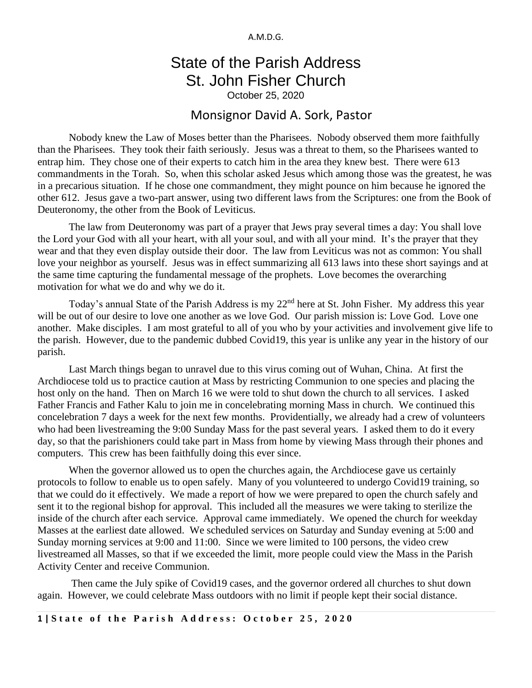A.M.D.G.

## State of the Parish Address St. John Fisher Church

October 25, 2020

## Monsignor David A. Sork, Pastor

Nobody knew the Law of Moses better than the Pharisees. Nobody observed them more faithfully than the Pharisees. They took their faith seriously. Jesus was a threat to them, so the Pharisees wanted to entrap him. They chose one of their experts to catch him in the area they knew best. There were 613 commandments in the Torah. So, when this scholar asked Jesus which among those was the greatest, he was in a precarious situation. If he chose one commandment, they might pounce on him because he ignored the other 612. Jesus gave a two-part answer, using two different laws from the Scriptures: one from the Book of Deuteronomy, the other from the Book of Leviticus.

The law from Deuteronomy was part of a prayer that Jews pray several times a day: You shall love the Lord your God with all your heart, with all your soul, and with all your mind. It's the prayer that they wear and that they even display outside their door. The law from Leviticus was not as common: You shall love your neighbor as yourself. Jesus was in effect summarizing all 613 laws into these short sayings and at the same time capturing the fundamental message of the prophets. Love becomes the overarching motivation for what we do and why we do it.

Today's annual State of the Parish Address is my 22<sup>nd</sup> here at St. John Fisher. My address this year will be out of our desire to love one another as we love God. Our parish mission is: Love God. Love one another. Make disciples. I am most grateful to all of you who by your activities and involvement give life to the parish. However, due to the pandemic dubbed Covid19, this year is unlike any year in the history of our parish.

Last March things began to unravel due to this virus coming out of Wuhan, China. At first the Archdiocese told us to practice caution at Mass by restricting Communion to one species and placing the host only on the hand. Then on March 16 we were told to shut down the church to all services. I asked Father Francis and Father Kalu to join me in concelebrating morning Mass in church. We continued this concelebration 7 days a week for the next few months. Providentially, we already had a crew of volunteers who had been livestreaming the 9:00 Sunday Mass for the past several years. I asked them to do it every day, so that the parishioners could take part in Mass from home by viewing Mass through their phones and computers. This crew has been faithfully doing this ever since.

When the governor allowed us to open the churches again, the Archdiocese gave us certainly protocols to follow to enable us to open safely. Many of you volunteered to undergo Covid19 training, so that we could do it effectively. We made a report of how we were prepared to open the church safely and sent it to the regional bishop for approval. This included all the measures we were taking to sterilize the inside of the church after each service. Approval came immediately. We opened the church for weekday Masses at the earliest date allowed. We scheduled services on Saturday and Sunday evening at 5:00 and Sunday morning services at 9:00 and 11:00. Since we were limited to 100 persons, the video crew livestreamed all Masses, so that if we exceeded the limit, more people could view the Mass in the Parish Activity Center and receive Communion.

Then came the July spike of Covid19 cases, and the governor ordered all churches to shut down again. However, we could celebrate Mass outdoors with no limit if people kept their social distance.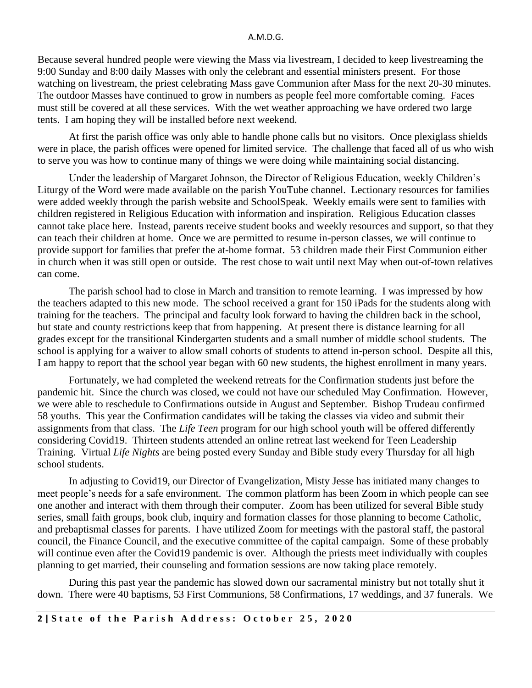## A.M.D.G.

Because several hundred people were viewing the Mass via livestream, I decided to keep livestreaming the 9:00 Sunday and 8:00 daily Masses with only the celebrant and essential ministers present. For those watching on livestream, the priest celebrating Mass gave Communion after Mass for the next 20-30 minutes. The outdoor Masses have continued to grow in numbers as people feel more comfortable coming. Faces must still be covered at all these services. With the wet weather approaching we have ordered two large tents. I am hoping they will be installed before next weekend.

At first the parish office was only able to handle phone calls but no visitors. Once plexiglass shields were in place, the parish offices were opened for limited service. The challenge that faced all of us who wish to serve you was how to continue many of things we were doing while maintaining social distancing.

Under the leadership of Margaret Johnson, the Director of Religious Education, weekly Children's Liturgy of the Word were made available on the parish YouTube channel. Lectionary resources for families were added weekly through the parish website and SchoolSpeak. Weekly emails were sent to families with children registered in Religious Education with information and inspiration. Religious Education classes cannot take place here. Instead, parents receive student books and weekly resources and support, so that they can teach their children at home. Once we are permitted to resume in-person classes, we will continue to provide support for families that prefer the at-home format. 53 children made their First Communion either in church when it was still open or outside. The rest chose to wait until next May when out-of-town relatives can come.

The parish school had to close in March and transition to remote learning. I was impressed by how the teachers adapted to this new mode. The school received a grant for 150 iPads for the students along with training for the teachers. The principal and faculty look forward to having the children back in the school, but state and county restrictions keep that from happening. At present there is distance learning for all grades except for the transitional Kindergarten students and a small number of middle school students. The school is applying for a waiver to allow small cohorts of students to attend in-person school. Despite all this, I am happy to report that the school year began with 60 new students, the highest enrollment in many years.

Fortunately, we had completed the weekend retreats for the Confirmation students just before the pandemic hit. Since the church was closed, we could not have our scheduled May Confirmation. However, we were able to reschedule to Confirmations outside in August and September. Bishop Trudeau confirmed 58 youths. This year the Confirmation candidates will be taking the classes via video and submit their assignments from that class. The *Life Teen* program for our high school youth will be offered differently considering Covid19. Thirteen students attended an online retreat last weekend for Teen Leadership Training. Virtual *Life Nights* are being posted every Sunday and Bible study every Thursday for all high school students.

In adjusting to Covid19, our Director of Evangelization, Misty Jesse has initiated many changes to meet people's needs for a safe environment. The common platform has been Zoom in which people can see one another and interact with them through their computer. Zoom has been utilized for several Bible study series, small faith groups, book club, inquiry and formation classes for those planning to become Catholic, and prebaptismal classes for parents. I have utilized Zoom for meetings with the pastoral staff, the pastoral council, the Finance Council, and the executive committee of the capital campaign. Some of these probably will continue even after the Covid19 pandemic is over. Although the priests meet individually with couples planning to get married, their counseling and formation sessions are now taking place remotely.

During this past year the pandemic has slowed down our sacramental ministry but not totally shut it down. There were 40 baptisms, 53 First Communions, 58 Confirmations, 17 weddings, and 37 funerals. We